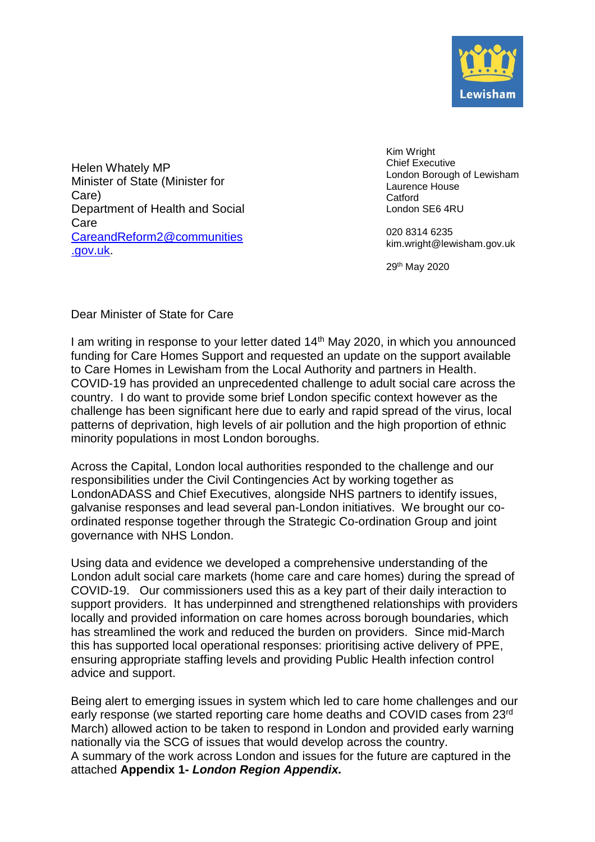

Helen Whately MP Minister of State (Minister for Care) Department of Health and Social Care [CareandReform2@communities](mailto:CareandReform2@communities.gov.uk) [.gov.uk.](mailto:CareandReform2@communities.gov.uk)

Kim Wright Chief Executive London Borough of Lewisham Laurence House **Catford** London SE6 4RU

020 8314 6235 [kim.wright@lewisham.gov.uk](mailto:name@lewisham.gov.uk)

29th May 2020

## Dear Minister of State for Care

I am writing in response to your letter dated 14<sup>th</sup> May 2020, in which you announced funding for Care Homes Support and requested an update on the support available to Care Homes in Lewisham from the Local Authority and partners in Health. COVID-19 has provided an unprecedented challenge to adult social care across the country. I do want to provide some brief London specific context however as the challenge has been significant here due to early and rapid spread of the virus, local patterns of deprivation, high levels of air pollution and the high proportion of ethnic minority populations in most London boroughs.

Across the Capital, London local authorities responded to the challenge and our responsibilities under the Civil Contingencies Act by working together as LondonADASS and Chief Executives, alongside NHS partners to identify issues, galvanise responses and lead several pan-London initiatives. We brought our coordinated response together through the Strategic Co-ordination Group and joint governance with NHS London.

Using data and evidence we developed a comprehensive understanding of the London adult social care markets (home care and care homes) during the spread of COVID-19. Our commissioners used this as a key part of their daily interaction to support providers. It has underpinned and strengthened relationships with providers locally and provided information on care homes across borough boundaries, which has streamlined the work and reduced the burden on providers. Since mid-March this has supported local operational responses: prioritising active delivery of PPE, ensuring appropriate staffing levels and providing Public Health infection control advice and support.

Being alert to emerging issues in system which led to care home challenges and our early response (we started reporting care home deaths and COVID cases from 23rd March) allowed action to be taken to respond in London and provided early warning nationally via the SCG of issues that would develop across the country. A summary of the work across London and issues for the future are captured in the attached **Appendix 1-** *London Region Appendix.*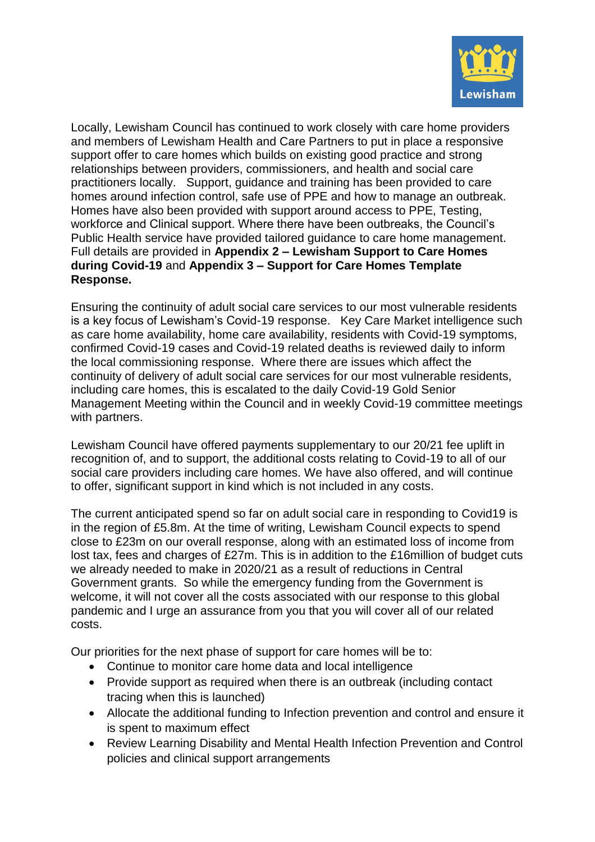

Locally, Lewisham Council has continued to work closely with care home providers and members of Lewisham Health and Care Partners to put in place a responsive support offer to care homes which builds on existing good practice and strong relationships between providers, commissioners, and health and social care practitioners locally. Support, guidance and training has been provided to care homes around infection control, safe use of PPE and how to manage an outbreak. Homes have also been provided with support around access to PPE, Testing, workforce and Clinical support. Where there have been outbreaks, the Council's Public Health service have provided tailored guidance to care home management. Full details are provided in **Appendix 2 – Lewisham Support to Care Homes during Covid-19** and **Appendix 3 – Support for Care Homes Template Response.**

Ensuring the continuity of adult social care services to our most vulnerable residents is a key focus of Lewisham's Covid-19 response. Key Care Market intelligence such as care home availability, home care availability, residents with Covid-19 symptoms, confirmed Covid-19 cases and Covid-19 related deaths is reviewed daily to inform the local commissioning response. Where there are issues which affect the continuity of delivery of adult social care services for our most vulnerable residents, including care homes, this is escalated to the daily Covid-19 Gold Senior Management Meeting within the Council and in weekly Covid-19 committee meetings with partners.

Lewisham Council have offered payments supplementary to our 20/21 fee uplift in recognition of, and to support, the additional costs relating to Covid-19 to all of our social care providers including care homes. We have also offered, and will continue to offer, significant support in kind which is not included in any costs.

The current anticipated spend so far on adult social care in responding to Covid19 is in the region of £5.8m. At the time of writing, Lewisham Council expects to spend close to £23m on our overall response, along with an estimated loss of income from lost tax, fees and charges of £27m. This is in addition to the £16million of budget cuts we already needed to make in 2020/21 as a result of reductions in Central Government grants. So while the emergency funding from the Government is welcome, it will not cover all the costs associated with our response to this global pandemic and I urge an assurance from you that you will cover all of our related costs.

Our priorities for the next phase of support for care homes will be to:

- Continue to monitor care home data and local intelligence
- Provide support as required when there is an outbreak (including contact tracing when this is launched)
- Allocate the additional funding to Infection prevention and control and ensure it is spent to maximum effect
- Review Learning Disability and Mental Health Infection Prevention and Control policies and clinical support arrangements